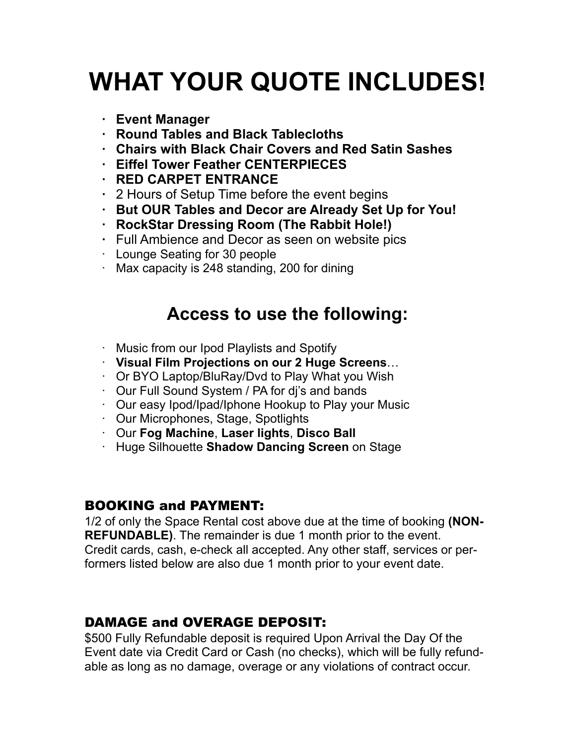# **WHAT YOUR QUOTE INCLUDES!**

- **· Event Manager**
- **· Round Tables and Black Tablecloths**
- **· Chairs with Black Chair Covers and Red Satin Sashes**
- **· Eiffel Tower Feather CENTERPIECES**
- **· RED CARPET ENTRANCE**
- **·** 2 Hours of Setup Time before the event begins
- **· But OUR Tables and Decor are Already Set Up for You!**
- **· RockStar Dressing Room (The Rabbit Hole!)**
- **·** Full Ambience and Decor as seen on website pics
- · Lounge Seating for 30 people
- · Max capacity is 248 standing, 200 for dining

# **Access to use the following:**

- · Music from our Ipod Playlists and Spotify
- · **Visual Film Projections on our 2 Huge Screens**…
- · Or BYO Laptop/BluRay/Dvd to Play What you Wish
- · Our Full Sound System / PA for dj's and bands
- · Our easy Ipod/Ipad/Iphone Hookup to Play your Music
- · Our Microphones, Stage, Spotlights
- · Our **Fog Machine**, **Laser lights**, **Disco Ball**
- · Huge Silhouette **Shadow Dancing Screen** on Stage

#### BOOKING and PAYMENT:

1/2 of only the Space Rental cost above due at the time of booking **(NON-REFUNDABLE)**. The remainder is due 1 month prior to the event. Credit cards, cash, e-check all accepted. Any other staff, services or performers listed below are also due 1 month prior to your event date.

#### DAMAGE and OVERAGE DEPOSIT:

\$500 Fully Refundable deposit is required Upon Arrival the Day Of the Event date via Credit Card or Cash (no checks), which will be fully refundable as long as no damage, overage or any violations of contract occur.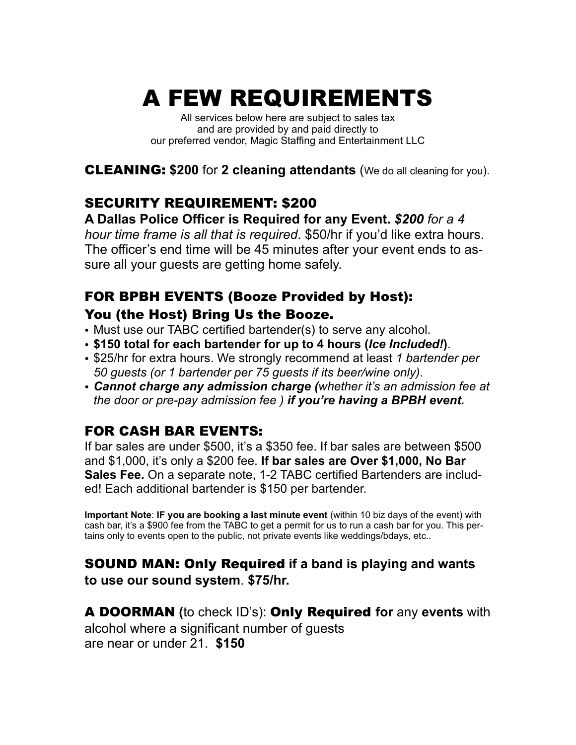# A FEW REQUIREMENTS

All services below here are subject to sales tax and are provided by and paid directly to our preferred vendor, Magic Staffing and Entertainment LLC

CLEANING: **\$200** for **2 cleaning attendants** (We do all cleaning for you).

#### SECURITY REQUIREMENT: \$200

**A Dallas Police Officer is Required for any Event.** *\$200 for a 4 hour time frame is all that is required*. \$50/hr if you'd like extra hours. The officer's end time will be 45 minutes after your event ends to assure all your guests are getting home safely.

### FOR BPBH EVENTS (Booze Provided by Host): You (the Host) Bring Us the Booze.

- Must use our TABC certified bartender(s) to serve any alcohol.
- **\$150 total for each bartender for up to 4 hours (***Ice Included!***)**.
- \$25/hr for extra hours. We strongly recommend at least *1 bartender per 50 guests (or 1 bartender per 75 guests if its beer/wine only)*.
- *Cannot charge any admission charge (whether it's an admission fee at the door or pre-pay admission fee ) if you're having a BPBH event.*

## FOR CASH BAR EVENTS:

If bar sales are under \$500, it's a \$350 fee. If bar sales are between \$500 and \$1,000, it's only a \$200 fee. **If bar sales are Over \$1,000, No Bar Sales Fee.** On a separate note, 1-2 TABC certified Bartenders are included! Each additional bartender is \$150 per bartender.

**Important Note**: **IF you are booking a last minute event** (within 10 biz days of the event) with cash bar, it's a \$900 fee from the TABC to get a permit for us to run a cash bar for you. This pertains only to events open to the public, not private events like weddings/bdays, etc..

# SOUND MAN: Only Required **if a band is playing and wants**

**to use our sound system**. **\$75/hr.**

A DOORMAN **(**to check ID's): Only Required **for** any **events** with alcohol where a significant number of guests are near or under 21. **\$150**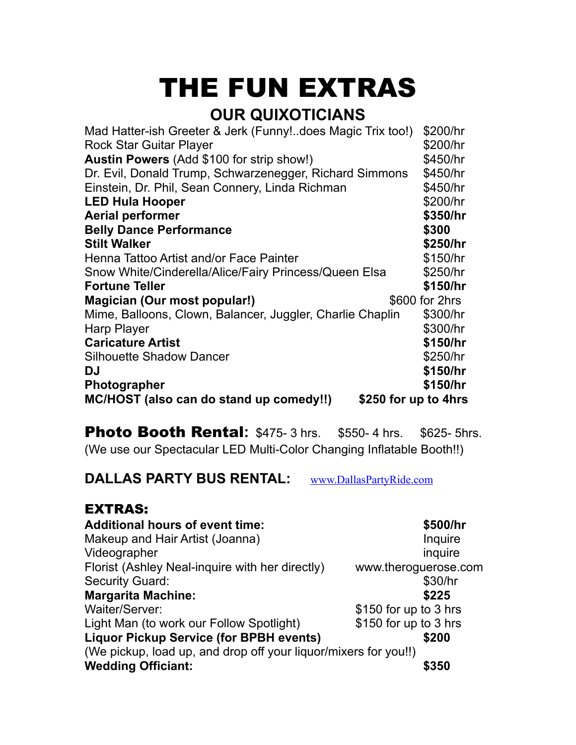# THE FUN EXTRAS

# **OUR QUIXOTICIANS**

| Mad Hatter-ish Greeter & Jerk (Funny!does Magic Trix too!) | \$200/hr             |
|------------------------------------------------------------|----------------------|
| <b>Rock Star Guitar Player</b>                             | \$200/hr             |
| Austin Powers (Add \$100 for strip show!)                  | \$450/hr             |
| Dr. Evil, Donald Trump, Schwarzenegger, Richard Simmons    | \$450/hr             |
| Einstein, Dr. Phil, Sean Connery, Linda Richman            | \$450/hr             |
| <b>LED Hula Hooper</b>                                     | \$200/hr             |
| <b>Aerial performer</b>                                    | \$350/hr             |
| <b>Belly Dance Performance</b>                             | \$300                |
| <b>Stilt Walker</b>                                        | \$250/hr             |
| Henna Tattoo Artist and/or Face Painter                    | \$150/hr             |
| Snow White/Cinderella/Alice/Fairy Princess/Queen Elsa      | \$250/hr             |
| <b>Fortune Teller</b>                                      | \$150/hr             |
| Magician (Our most popular!)                               | \$600 for 2hrs       |
| Mime, Balloons, Clown, Balancer, Juggler, Charlie Chaplin  | \$300/hr             |
| <b>Harp Player</b>                                         | \$300/hr             |
| <b>Caricature Artist</b>                                   | \$150/hr             |
| <b>Silhouette Shadow Dancer</b>                            | \$250/hr             |
| <b>DJ</b>                                                  | \$150/hr             |
| <b>Photographer</b>                                        | \$150/hr             |
| MC/HOST (also can do stand up comedy!!)                    | \$250 for up to 4hrs |

**Photo Booth Rental:** \$475- 3 hrs. \$550- 4 hrs. \$625- 5hrs. (We use our Spectacular LED Multi-Color Changing Inflatable Booth!!)

**DALLAS PARTY BUS RENTAL:** [www.DallasPartyRide.com](http://www.DallasPartyRide.com)

#### EXTRAS:

| <b>Additional hours of event time:</b>                          | \$500/hr              |
|-----------------------------------------------------------------|-----------------------|
| Makeup and Hair Artist (Joanna)                                 | Inquire               |
| Videographer                                                    | inquire               |
| Florist (Ashley Neal-inquire with her directly)                 | www.theroguerose.com  |
| <b>Security Guard:</b>                                          | \$30/hr               |
| <b>Margarita Machine:</b>                                       | \$225                 |
| Waiter/Server:                                                  | \$150 for up to 3 hrs |
| Light Man (to work our Follow Spotlight)                        | \$150 for up to 3 hrs |
| <b>Liquor Pickup Service (for BPBH events)</b>                  | \$200                 |
| (We pickup, load up, and drop off your liquor/mixers for you!!) |                       |
| <b>Wedding Officiant:</b>                                       | \$350                 |